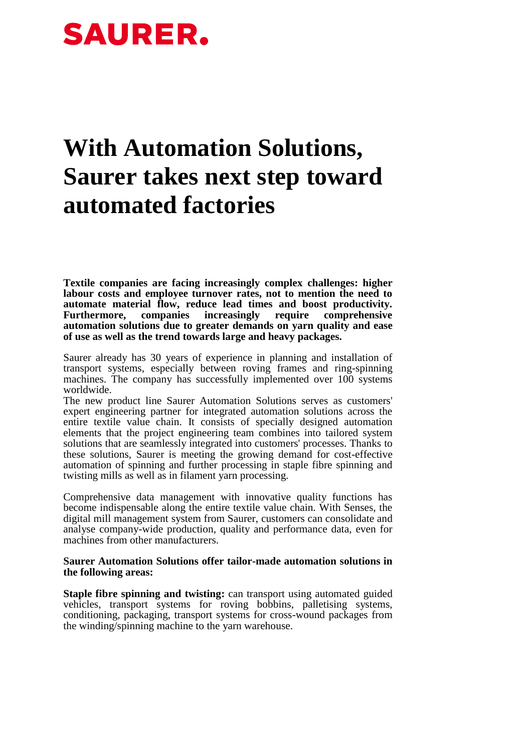## **SAURER.**

## **With Automation Solutions, Saurer takes next step toward automated factories**

**Textile companies are facing increasingly complex challenges: higher labour costs and employee turnover rates, not to mention the need to automate material flow, reduce lead times and boost productivity. Furthermore, companies increasingly require comprehensive automation solutions due to greater demands on yarn quality and ease of use as well as the trend towards large and heavy packages.** 

Saurer already has 30 years of experience in planning and installation of transport systems, especially between roving frames and ring-spinning machines. The company has successfully implemented over 100 systems worldwide.

The new product line Saurer Automation Solutions serves as customers' expert engineering partner for integrated automation solutions across the entire textile value chain. It consists of specially designed automation elements that the project engineering team combines into tailored system solutions that are seamlessly integrated into customers' processes. Thanks to these solutions, Saurer is meeting the growing demand for cost-effective automation of spinning and further processing in staple fibre spinning and twisting mills as well as in filament yarn processing.

Comprehensive data management with innovative quality functions has become indispensable along the entire textile value chain. With Senses, the digital mill management system from Saurer, customers can consolidate and analyse company-wide production, quality and performance data, even for machines from other manufacturers.

## **Saurer Automation Solutions offer tailor-made automation solutions in the following areas:**

**Staple fibre spinning and twisting:** can transport using automated guided vehicles, transport systems for roving bobbins, palletising systems, conditioning, packaging, transport systems for cross-wound packages from the winding/spinning machine to the yarn warehouse.